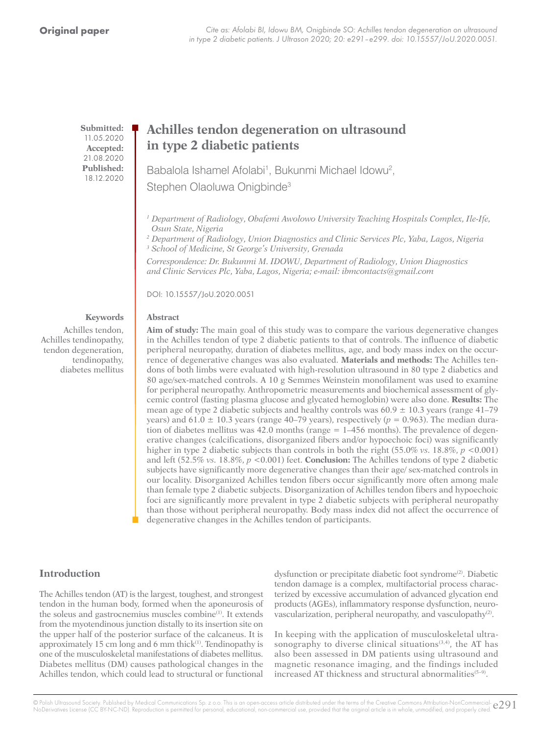**Submitted:** 11.05.2020 **Accepted:** 21.08.2020 **Published:** 18.12.2020

# **Achilles tendon degeneration on ultrasound in type 2 diabetic patients**

Babalola Ishamel Afolabi<sup>1</sup>, Bukunmi Michael Idowu<sup>2</sup>, Stephen Olaoluwa Onigbinde<sup>3</sup>

*<sup>1</sup> Department of Radiology, Obafemi Awolowo University Teaching Hospitals Complex, Ile-Ife, Osun State, Nigeria*

*2 Department of Radiology, Union Diagnostics and Clinic Services Plc, Yaba, Lagos, Nigeria 3 School of Medicine, St George's University, Grenada*

*Correspondence: Dr. Bukunmi M. IDOWU, Department of Radiology, Union Diagnostics and Clinic Services Plc, Yaba, Lagos, Nigeria; e-mail: ibmcontacts@gmail.com*

DOI: 10.15557/JoU.2020.0051

#### **Abstract**

Achilles tendon, Achilles tendinopathy, tendon degeneration, tendinopathy, diabetes mellitus

**Keywords**

**Aim of study:** The main goal of this study was to compare the various degenerative changes in the Achilles tendon of type 2 diabetic patients to that of controls. The influence of diabetic peripheral neuropathy, duration of diabetes mellitus, age, and body mass index on the occurrence of degenerative changes was also evaluated. **Materials and methods:** The Achilles tendons of both limbs were evaluated with high-resolution ultrasound in 80 type 2 diabetics and 80 age/sex-matched controls. A 10 g Semmes Weinstein monofilament was used to examine for peripheral neuropathy. Anthropometric measurements and biochemical assessment of glycemic control (fasting plasma glucose and glycated hemoglobin) were also done. **Results:** The mean age of type 2 diabetic subjects and healthy controls was  $60.9 \pm 10.3$  years (range 41–79) years) and  $61.0 \pm 10.3$  years (range 40–79 years), respectively ( $p = 0.963$ ). The median duration of diabetes mellitus was 42.0 months (range = 1–456 months). The prevalence of degenerative changes (calcifications, disorganized fibers and/or hypoechoic foci) was significantly higher in type 2 diabetic subjects than controls in both the right (55.0% *vs.* 18.8%, *p* <0.001) and left (52.5% *vs.* 18.8%, *p* <0.001) feet. **Conclusion:** The Achilles tendons of type 2 diabetic subjects have significantly more degenerative changes than their age/ sex-matched controls in our locality. Disorganized Achilles tendon fibers occur significantly more often among male than female type 2 diabetic subjects. Disorganization of Achilles tendon fibers and hypoechoic foci are significantly more prevalent in type 2 diabetic subjects with peripheral neuropathy than those without peripheral neuropathy. Body mass index did not affect the occurrence of degenerative changes in the Achilles tendon of participants.

### **Introduction**

The Achilles tendon (AT) is the largest, toughest, and strongest tendon in the human body, formed when the aponeurosis of the soleus and gastrocnemius muscles combine<sup>(1)</sup>. It extends from the myotendinous junction distally to its insertion site on the upper half of the posterior surface of the calcaneus. It is approximately 15 cm long and 6 mm thick $(1)$ . Tendinopathy is one of the musculoskeletal manifestations of diabetes mellitus. Diabetes mellitus (DM) causes pathological changes in the Achilles tendon, which could lead to structural or functional dysfunction or precipitate diabetic foot syndrome<sup>(2)</sup>. Diabetic tendon damage is a complex, multifactorial process characterized by excessive accumulation of advanced glycation end products (AGEs), inflammatory response dysfunction, neurovascularization, peripheral neuropathy, and vasculopathy<sup>(2)</sup>.

In keeping with the application of musculoskeletal ultrasonography to diverse clinical situations $(3,4)$ , the AT has also been assessed in DM patients using ultrasound and magnetic resonance imaging, and the findings included increased AT thickness and structural abnormalities<sup>(5-9)</sup>.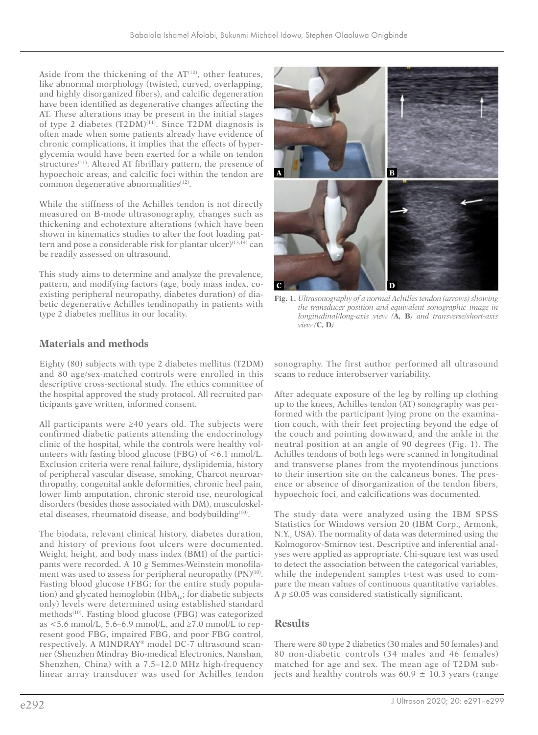Aside from the thickening of the  $AT<sup>(10)</sup>$ , other features, like abnormal morphology (twisted, curved, overlapping, and highly disorganized fibers), and calcific degeneration have been identified as degenerative changes affecting the AT. These alterations may be present in the initial stages of type 2 diabetes  $(T2DM)^{(11)}$ . Since T2DM diagnosis is often made when some patients already have evidence of chronic complications, it implies that the effects of hyperglycemia would have been exerted for a while on tendon structures<sup>(11)</sup>. Altered AT fibrillary pattern, the presence of hypoechoic areas, and calcific foci within the tendon are common degenerative abnormalities<sup>(12)</sup>.

While the stiffness of the Achilles tendon is not directly measured on B-mode ultrasonography, changes such as thickening and echotexture alterations (which have been shown in kinematics studies to alter the foot loading pattern and pose a considerable risk for plantar ulcer $)^{(13,14)}$  can be readily assessed on ultrasound.

This study aims to determine and analyze the prevalence, pattern, and modifying factors (age, body mass index, coexisting peripheral neuropathy, diabetes duration) of diabetic degenerative Achilles tendinopathy in patients with type 2 diabetes mellitus in our locality.

# **Materials and methods**

Eighty (80) subjects with type 2 diabetes mellitus (T2DM) and 80 age/sex-matched controls were enrolled in this descriptive cross-sectional study. The ethics committee of the hospital approved the study protocol. All recruited participants gave written, informed consent.

All participants were ≥40 years old. The subjects were confirmed diabetic patients attending the endocrinology clinic of the hospital, while the controls were healthy volunteers with fasting blood glucose (FBG) of <6.1 mmol/L. Exclusion criteria were renal failure, dyslipidemia, history of peripheral vascular disease, smoking, Charcot neuroarthropathy, congenital ankle deformities, chronic heel pain, lower limb amputation, chronic steroid use, neurological disorders (besides those associated with DM), musculoskeletal diseases, rheumatoid disease, and bodybuilding<sup>(10)</sup>.

The biodata, relevant clinical history, diabetes duration, and history of previous foot ulcers were documented. Weight, height, and body mass index (BMI) of the participants were recorded. A 10 g Semmes-Weinstein monofilament was used to assess for peripheral neuropathy (PN)<sup>(10)</sup>. Fasting blood glucose (FBG; for the entire study population) and glycated hemoglobin ( $HbA_{1c}$ ; for diabetic subjects only) levels were determined using established standard methods<sup>(10)</sup>. Fasting blood glucose (FBG) was categorized as  $\lt$  5.6 mmol/L, 5.6–6.9 mmol/L, and  $\geq$ 7.0 mmol/L to represent good FBG, impaired FBG, and poor FBG control, respectively. A MINDRAY® model DC-7 ultrasound scanner (Shenzhen Mindray Bio-medical Electronics, Nanshan, Shenzhen, China) with a 7.5–12.0 MHz high-frequency linear array transducer was used for Achilles tendon



**Fig. 1.** *Ultrasonography of a normal Achilles tendon (arrows) showing the transducer position and equivalent sonographic image in longitudinal/long-axis view (***A, B***) and transverse/short-axis view (***C, D***)*

sonography. The first author performed all ultrasound scans to reduce interobserver variability.

After adequate exposure of the leg by rolling up clothing up to the knees, Achilles tendon (AT) sonography was performed with the participant lying prone on the examination couch, with their feet projecting beyond the edge of the couch and pointing downward, and the ankle in the neutral position at an angle of 90 degrees (Fig. 1). The Achilles tendons of both legs were scanned in longitudinal and transverse planes from the myotendinous junctions to their insertion site on the calcaneus bones. The presence or absence of disorganization of the tendon fibers, hypoechoic foci, and calcifications was documented.

The study data were analyzed using the IBM SPSS Statistics for Windows version 20 (IBM Corp., Armonk, N.Y., USA). The normality of data was determined using the Kolmogorov-Smirnov test. Descriptive and inferential analyses were applied as appropriate. Chi-square test was used to detect the association between the categorical variables, while the independent samples t-test was used to compare the mean values of continuous quantitative variables. A *p* ≤0.05 was considered statistically significant.

# **Results**

There were 80 type 2 diabetics (30 males and 50 females) and 80 non-diabetic controls (34 males and 46 females) matched for age and sex. The mean age of T2DM subjects and healthy controls was  $60.9 \pm 10.3$  years (range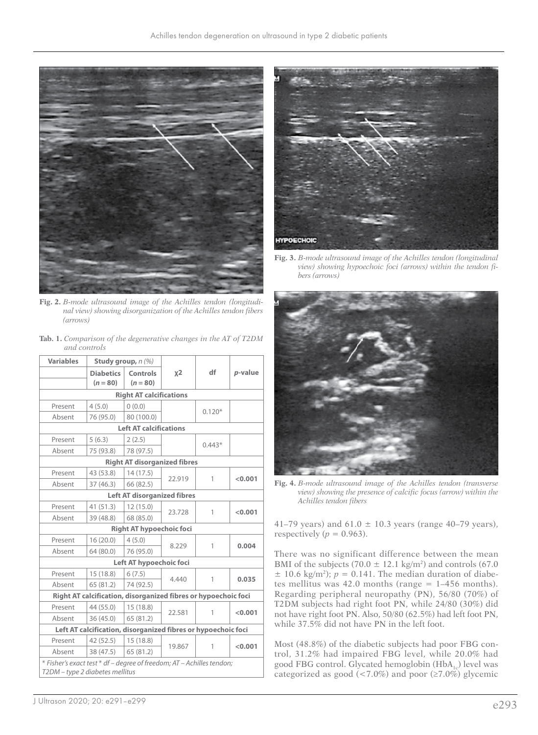

**Fig. 2.** *B-mode ultrasound image of the Achilles tendon (longitudinal view) showing disorganization of the Achilles tendon fibers (arrows)*

**Tab. 1.** *Comparison of the degenerative changes in the AT of T2DM and controls* 

| <b>Variables</b>                                                                                         | Study group, $n(%)$            |                                                                |        |          |         |  |  |  |
|----------------------------------------------------------------------------------------------------------|--------------------------------|----------------------------------------------------------------|--------|----------|---------|--|--|--|
|                                                                                                          | <b>Diabetics</b><br>$(n = 80)$ | Controls<br>$(n = 80)$                                         | $x^2$  | df       | p-value |  |  |  |
| <b>Right AT calcifications</b>                                                                           |                                |                                                                |        |          |         |  |  |  |
| Present                                                                                                  | 4(5.0)                         | 0(0.0)                                                         |        | $0.120*$ |         |  |  |  |
| Absent                                                                                                   | 76 (95.0)                      | 80 (100.0)                                                     |        |          |         |  |  |  |
|                                                                                                          |                                | <b>Left AT calcifications</b>                                  |        |          |         |  |  |  |
| Present                                                                                                  | 5(6.3)                         | 2(2.5)                                                         |        | $0.443*$ |         |  |  |  |
| Absent                                                                                                   | 75 (93.8)                      | 78 (97.5)                                                      |        |          |         |  |  |  |
|                                                                                                          |                                | <b>Right AT disorganized fibres</b>                            |        |          |         |  |  |  |
| Present                                                                                                  | 43 (53.8)                      | 14(17.5)                                                       | 22.919 | 1        | < 0.001 |  |  |  |
| Absent                                                                                                   | 37 (46.3)                      | 66 (82.5)                                                      |        |          |         |  |  |  |
|                                                                                                          |                                | <b>Left AT disorganized fibres</b>                             |        |          |         |  |  |  |
| Present                                                                                                  | 41 (51.3)                      | 12(15.0)                                                       | 23.728 | 1        | < 0.001 |  |  |  |
| Absent                                                                                                   | 39 (48.8)                      | 68 (85.0)                                                      |        |          |         |  |  |  |
|                                                                                                          |                                | <b>Right AT hypoechoic foci</b>                                |        |          |         |  |  |  |
| Present                                                                                                  | 16(20.0)                       | 4(5.0)                                                         | 8.229  | 1        | 0.004   |  |  |  |
| Absent                                                                                                   | 64 (80.0)                      | 76 (95.0)                                                      |        |          |         |  |  |  |
|                                                                                                          |                                | Left AT hypoechoic foci                                        |        |          |         |  |  |  |
| Present                                                                                                  | 15(18.8)                       | 6(7.5)                                                         | 4.440  | 1        | 0.035   |  |  |  |
| Absent                                                                                                   | 65(81.2)                       | 74 (92.5)                                                      |        |          |         |  |  |  |
|                                                                                                          |                                | Right AT calcification, disorganized fibres or hypoechoic foci |        |          |         |  |  |  |
| Present                                                                                                  | 44 (55.0)                      | 15(18.8)                                                       | 22.581 | 1        | < 0.001 |  |  |  |
| Absent                                                                                                   | 36 (45.0)                      | 65 (81.2)                                                      |        |          |         |  |  |  |
|                                                                                                          |                                | Left AT calcification, disorganized fibres or hypoechoic foci  |        |          |         |  |  |  |
| Present                                                                                                  | 42 (52.5)                      | 15(18.8)                                                       | 19.867 | 1        | < 0.001 |  |  |  |
| Absent                                                                                                   | 38 (47.5)                      | 65 (81.2)                                                      |        |          |         |  |  |  |
| * Fisher's exact test * df – degree of freedom; AT – Achilles tendon;<br>T2DM - type 2 diabetes mellitus |                                |                                                                |        |          |         |  |  |  |



**Fig. 3.** *B-mode ultrasound image of the Achilles tendon (longitudinal view) showing hypoechoic foci (arrows) within the tendon fibers (arrows)*



**Fig. 4.** *B-mode ultrasound image of the Achilles tendon (transverse view) showing the presence of calcific focus (arrow) within the Achilles tendon fibers*

41–79 years) and  $61.0 \pm 10.3$  years (range 40–79 years), respectively ( $p = 0.963$ ).

There was no significant difference between the mean BMI of the subjects (70.0  $\pm$  12.1 kg/m<sup>2</sup>) and controls (67.0  $\pm$  10.6 kg/m<sup>2</sup>); *p* = 0.141. The median duration of diabetes mellitus was 42.0 months (range  $= 1-456$  months). Regarding peripheral neuropathy (PN), 56/80 (70%) of T2DM subjects had right foot PN, while 24/80 (30%) did not have right foot PN. Also, 50/80 (62.5%) had left foot PN, while 37.5% did not have PN in the left foot.

Most (48.8%) of the diabetic subjects had poor FBG control, 31.2% had impaired FBG level, while 20.0% had good FBG control. Glycated hemoglobin  $(HbA_1)$  level was categorized as good (<7.0%) and poor ( $\geq$ 7.0%) glycemic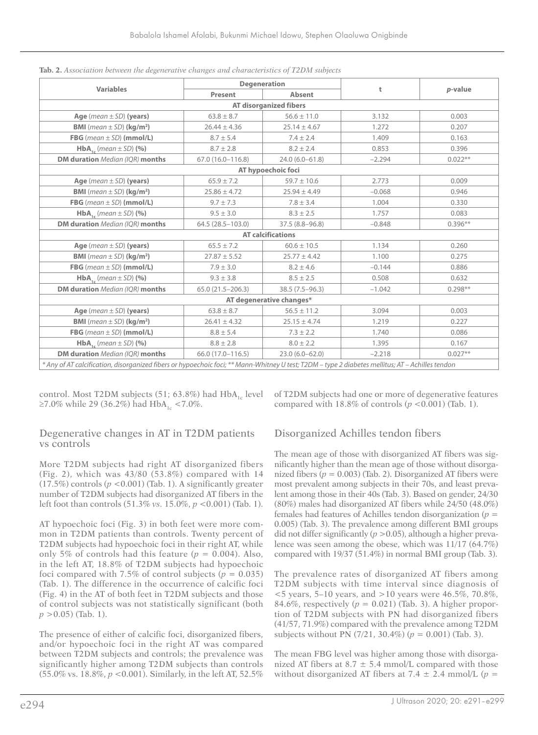|                                                                                                                                                  | <b>Degeneration</b>      |                               |          |           |
|--------------------------------------------------------------------------------------------------------------------------------------------------|--------------------------|-------------------------------|----------|-----------|
| <b>Variables</b>                                                                                                                                 | Absent<br><b>Present</b> |                               | t        | p-value   |
|                                                                                                                                                  |                          | <b>AT disorganized fibers</b> |          |           |
| Age (mean $\pm$ SD) (years)                                                                                                                      | $63.8 \pm 8.7$           | $56.6 \pm 11.0$               | 3.132    | 0.003     |
| <b>BMI</b> ( <i>mean</i> $\pm$ SD) ( <b>kg/m<sup>2</sup>)</b>                                                                                    | $26.44 \pm 4.36$         | $25.14 \pm 4.67$              | 1.272    | 0.207     |
| FBG (mean $\pm$ SD) (mmol/L)                                                                                                                     | $8.7 \pm 5.4$            | $7.4 \pm 2.4$                 | 1.409    | 0.163     |
| $HbA_{1c}$ (mean $\pm$ SD) (%)                                                                                                                   | $8.7 \pm 2.8$            | $8.2 \pm 2.4$                 | 0.853    | 0.396     |
| DM duration Median (IQR) months                                                                                                                  | 67.0 (16.0-116.8)        | $24.0(6.0 - 61.8)$            | $-2.294$ | $0.022**$ |
|                                                                                                                                                  |                          | AT hypoechoic foci            |          |           |
| Age (mean $\pm$ SD) (years)                                                                                                                      | $65.9 \pm 7.2$           | $59.7 \pm 10.6$               | 2.773    | 0.009     |
| <b>BMI</b> ( <i>mean</i> $\pm$ <i>SD</i> ) ( <b>kg/m<sup>2</sup>)</b>                                                                            | $25.86 \pm 4.72$         | $25.94 \pm 4.49$              | $-0.068$ | 0.946     |
| FBG (mean $\pm$ SD) (mmol/L)                                                                                                                     | $9.7 \pm 7.3$            | $7.8 \pm 3.4$                 | 1.004    | 0.330     |
| $HbA_{1c}$ (mean $\pm$ SD) (%)                                                                                                                   | $9.5 \pm 3.0$            | $8.3 \pm 2.5$                 | 1.757    | 0.083     |
| DM duration Median (IOR) months                                                                                                                  | 64.5 (28.5-103.0)        | $37.5(8.8 - 96.8)$            | $-0.848$ | $0.396**$ |
|                                                                                                                                                  |                          | <b>AT calcifications</b>      |          |           |
| Age (mean $\pm$ SD) (years)                                                                                                                      | $65.5 \pm 7.2$           | $60.6 \pm 10.5$               | 1.134    | 0.260     |
| <b>BMI</b> (mean $\pm$ SD) (kg/m <sup>2</sup> )                                                                                                  | $27.87 \pm 5.52$         | $25.77 \pm 4.42$              | 1.100    | 0.275     |
| FBG (mean $\pm$ SD) (mmol/L)                                                                                                                     | $7.9 \pm 3.0$            | $8.2 \pm 4.6$                 | $-0.144$ | 0.886     |
| $HbA$ <sub>1</sub> (mean $\pm$ SD) (%)                                                                                                           | $9.3 \pm 3.8$            | $8.5 \pm 2.5$                 | 0.508    | 0.632     |
| DM duration Median (IQR) months                                                                                                                  | $65.0(21.5 - 206.3)$     | $38.5(7.5 - 96.3)$            | $-1.042$ | $0.298**$ |
|                                                                                                                                                  |                          | AT degenerative changes*      |          |           |
| Age (mean $\pm$ SD) (years)                                                                                                                      | $63.8 \pm 8.7$           | $56.5 \pm 11.2$               | 3.094    | 0.003     |
| <b>BMI</b> (mean $\pm$ SD) (kg/m <sup>2</sup> )                                                                                                  | $26.41 \pm 4.32$         | $25.15 \pm 4.74$              | 1.219    | 0.227     |
| FBG (mean $\pm$ SD) (mmol/L)                                                                                                                     | $8.8 \pm 5.4$            | $7.3 \pm 2.2$                 | 1.740    | 0.086     |
| $HbA$ <sub>1</sub> ( <i>mean</i> $\pm$ SD) (%)                                                                                                   | $8.8 \pm 2.8$            | $8.0 \pm 2.2$                 | 1.395    | 0.167     |
| DM duration Median (IOR) months                                                                                                                  | 66.0 (17.0-116.5)        | $23.0(6.0 - 62.0)$            | $-2.218$ | $0.027**$ |
| * Any of AT calcification, disorganized fibers or hypoechoic foci; ** Mann-Whitney U test; T2DM - type 2 diabetes mellitus; AT - Achilles tendon |                          |                               |          |           |

|  |  | Tab. 2. Association between the degenerative changes and characteristics of T2DM subjects |
|--|--|-------------------------------------------------------------------------------------------|
|--|--|-------------------------------------------------------------------------------------------|

control. Most T2DM subjects  $(51; 63.8%)$  had HbA<sub>10</sub> level ≥7.0% while 29 (36.2%) had HbA<sub>1c</sub> <7.0%.

### Degenerative changes in AT in T2DM patients vs controls

More T2DM subjects had right AT disorganized fibers (Fig. 2), which was 43/80 (53.8%) compared with 14  $(17.5%)$  controls  $(p < 0.001)$  (Tab. 1). A significantly greater number of T2DM subjects had disorganized AT fibers in the left foot than controls (51.3% *vs.* 15.0%, *p* <0.001) (Tab. 1).

AT hypoechoic foci (Fig. 3) in both feet were more common in T2DM patients than controls. Twenty percent of T2DM subjects had hypoechoic foci in their right AT, while only 5% of controls had this feature  $(p = 0.004)$ . Also, in the left AT, 18.8% of T2DM subjects had hypoechoic foci compared with 7.5% of control subjects ( $p = 0.035$ ) (Tab. 1). The difference in the occurrence of calcific foci (Fig. 4) in the AT of both feet in T2DM subjects and those of control subjects was not statistically significant (both *p* >0.05) (Tab. 1).

The presence of either of calcific foci, disorganized fibers, and/or hypoechoic foci in the right AT was compared between T2DM subjects and controls; the prevalence was significantly higher among T2DM subjects than controls (55.0% vs. 18.8%, *p* <0.001). Similarly, in the left AT, 52.5%

of T2DM subjects had one or more of degenerative features compared with 18.8% of controls (*p* <0.001) (Tab. 1).

# Disorganized Achilles tendon fibers

The mean age of those with disorganized AT fibers was significantly higher than the mean age of those without disorganized fibers  $(p = 0.003)$  (Tab. 2). Disorganized AT fibers were most prevalent among subjects in their 70s, and least prevalent among those in their 40s (Tab. 3). Based on gender, 24/30 (80%) males had disorganized AT fibers while 24/50 (48.0%) females had features of Achilles tendon disorganization (*p* = 0.005) (Tab. 3). The prevalence among different BMI groups did not differ significantly (*p* >0.05), although a higher prevalence was seen among the obese, which was 11/17 (64.7%) compared with 19/37 (51.4%) in normal BMI group (Tab. 3).

The prevalence rates of disorganized AT fibers among T2DM subjects with time interval since diagnosis of <5 years, 5–10 years, and >10 years were 46.5%, 70.8%, 84.6%, respectively (*p* = 0.021) (Tab. 3). A higher proportion of T2DM subjects with PN had disorganized fibers (41/57, 71.9%) compared with the prevalence among T2DM subjects without PN (7/21, 30.4%) (*p* = 0.001) (Tab. 3).

The mean FBG level was higher among those with disorganized AT fibers at  $8.7 \pm 5.4$  mmol/L compared with those without disorganized AT fibers at 7.4  $\pm$  2.4 mmol/L ( $p =$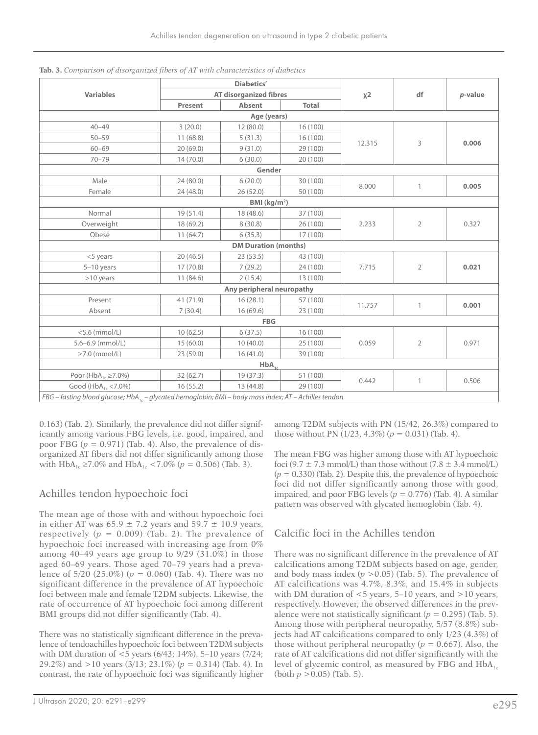|                                                                                                                   |           | <b>Diabetics'</b>             |              |        |                |         |
|-------------------------------------------------------------------------------------------------------------------|-----------|-------------------------------|--------------|--------|----------------|---------|
| <b>Variables</b>                                                                                                  |           | <b>AT disorganized fibres</b> |              | $x^2$  | df             | p-value |
|                                                                                                                   | Present   | <b>Absent</b>                 | <b>Total</b> |        |                |         |
|                                                                                                                   |           | Age (years)                   |              |        |                |         |
| $40 - 49$                                                                                                         | 3(20.0)   | 12(80.0)                      | 16(100)      |        |                |         |
| $50 - 59$                                                                                                         | 11(68.8)  | 5(31.3)                       | 16(100)      | 12.315 |                | 0.006   |
| $60 - 69$                                                                                                         | 20(69.0)  | 9(31.0)                       | 29 (100)     |        | 3              |         |
| $70 - 79$                                                                                                         | 14(70.0)  | 6(30.0)                       | 20 (100)     |        |                |         |
|                                                                                                                   |           | Gender                        |              |        |                |         |
| Male                                                                                                              | 24(80.0)  | 6(20.0)                       | 30 (100)     | 8.000  | 1              | 0.005   |
| Female                                                                                                            | 24 (48.0) | 26(52.0)                      | 50 (100)     |        |                |         |
|                                                                                                                   |           | BMI (kg/m <sup>2</sup> )      |              |        |                |         |
| Normal                                                                                                            | 19(51.4)  | 18 (48.6)                     | 37 (100)     |        |                |         |
| Overweight                                                                                                        | 18 (69.2) | 8(30.8)                       | 26 (100)     | 2.233  | $\overline{2}$ | 0.327   |
| Obese                                                                                                             | 11(64.7)  | 6(35.3)                       | 17 (100)     |        |                |         |
|                                                                                                                   |           | <b>DM Duration (months)</b>   |              |        |                |         |
| $<$ 5 years                                                                                                       | 20(46.5)  | 23(53.5)                      | 43 (100)     |        |                |         |
| $5-10$ years                                                                                                      | 17(70.8)  | 7(29.2)                       | 24 (100)     | 7.715  | $\overline{2}$ | 0.021   |
| $>10$ years                                                                                                       | 11(84.6)  | 2(15.4)                       | 13 (100)     |        |                |         |
|                                                                                                                   |           | Any peripheral neuropathy     |              |        |                |         |
| Present                                                                                                           | 41 (71.9) | 16(28.1)                      | 57 (100)     | 11.757 | $\mathbf{1}$   | 0.001   |
| Absent                                                                                                            | 7(30.4)   | 16(69.6)                      | 23 (100)     |        |                |         |
|                                                                                                                   |           | <b>FBG</b>                    |              |        |                |         |
| $<$ 5.6 (mmol/L)                                                                                                  | 10(62.5)  | 6(37.5)                       | 16 (100)     |        |                |         |
| $5.6 - 6.9$ (mmol/L)                                                                                              | 15(60.0)  | 10(40.0)                      | 25 (100)     | 0.059  | 2              | 0.971   |
| $\geq$ 7.0 (mmol/L)                                                                                               | 23(59.0)  | 16(41.0)                      | 39 (100)     |        |                |         |
|                                                                                                                   |           | $HbA_{1c}$                    |              |        |                |         |
| Poor (HbA <sub>1c</sub> $\geq$ 7.0%)                                                                              | 32(62.7)  | 19 (37.3)                     | 51 (100)     |        |                |         |
| Good ( $HbA_{1c}$ < 7.0%)                                                                                         | 16(55.2)  | 13 (44.8)                     | 29 (100)     | 0.442  | $\mathbf{1}$   | 0.506   |
| FBG - fasting blood glucose; HbA <sub>1c</sub> - glycated hemoglobin; BMI - body mass index; AT - Achilles tendon |           |                               |              |        |                |         |

**Tab. 3.** *Comparison of disorganized fibers of AT with characteristics of diabetics*

0.163) (Tab. 2). Similarly, the prevalence did not differ significantly among various FBG levels, i.e. good, impaired, and poor FBG  $(p = 0.971)$  (Tab. 4). Also, the prevalence of disorganized AT fibers did not differ significantly among those with HbA<sub>1c</sub> ≥7.0% and HbA<sub>1c</sub> <7.0% ( $p = 0.506$ ) (Tab. 3).

### Achilles tendon hypoechoic foci

The mean age of those with and without hypoechoic foci in either AT was  $65.9 \pm 7.2$  years and  $59.7 \pm 10.9$  years, respectively  $(p = 0.009)$  (Tab. 2). The prevalence of hypoechoic foci increased with increasing age from 0% among 40–49 years age group to 9/29 (31.0%) in those aged 60–69 years. Those aged 70–79 years had a prevalence of 5/20 (25.0%) (*p* = 0.060) (Tab. 4). There was no significant difference in the prevalence of AT hypoechoic foci between male and female T2DM subjects. Likewise, the rate of occurrence of AT hypoechoic foci among different BMI groups did not differ significantly (Tab. 4).

There was no statistically significant difference in the prevalence of tendoachilles hypoechoic foci between T2DM subjects with DM duration of <5 years (6/43; 14%), 5–10 years (7/24; 29.2%) and >10 years (3/13; 23.1%) (*p* = 0.314) (Tab. 4). In contrast, the rate of hypoechoic foci was significantly higher among T2DM subjects with PN (15/42, 26.3%) compared to those without PN  $(1/23, 4.3\%)$   $(p = 0.031)$  (Tab. 4).

The mean FBG was higher among those with AT hypoechoic foci (9.7  $\pm$  7.3 mmol/L) than those without (7.8  $\pm$  3.4 mmol/L)  $(p = 0.330)$  (Tab. 2). Despite this, the prevalence of hypoechoic foci did not differ significantly among those with good, impaired, and poor FBG levels  $(p = 0.776)$  (Tab. 4). A similar pattern was observed with glycated hemoglobin (Tab. 4).

### Calcific foci in the Achilles tendon

There was no significant difference in the prevalence of AT calcifications among T2DM subjects based on age, gender, and body mass index  $(p > 0.05)$  (Tab. 5). The prevalence of AT calcifications was 4.7%, 8.3%, and 15.4% in subjects with DM duration of <5 years, 5–10 years, and >10 years, respectively. However, the observed differences in the prevalence were not statistically significant ( $p = 0.295$ ) (Tab. 5). Among those with peripheral neuropathy, 5/57 (8.8%) subjects had AT calcifications compared to only 1/23 (4.3%) of those without peripheral neuropathy ( $p = 0.667$ ). Also, the rate of AT calcifications did not differ significantly with the level of glycemic control, as measured by FBG and  $HbA_{1c}$ (both *p* >0.05) (Tab. 5).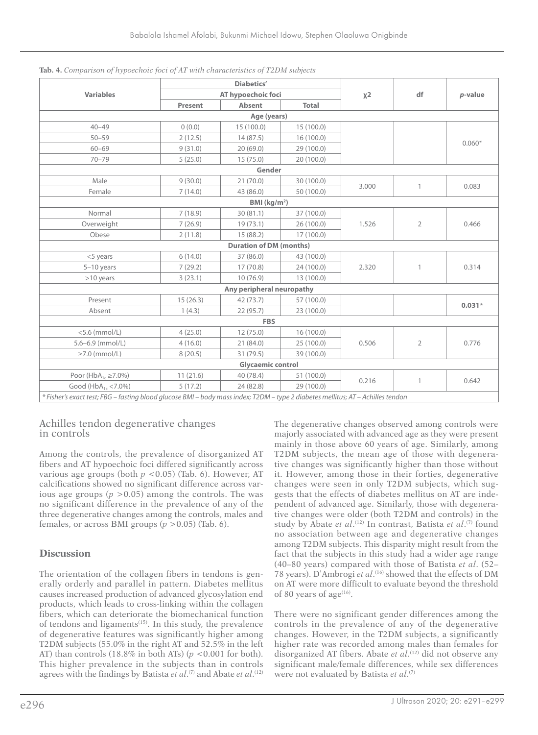|                                                                                                                                 |          | <b>Diabetics'</b>              |              |       |                |          |
|---------------------------------------------------------------------------------------------------------------------------------|----------|--------------------------------|--------------|-------|----------------|----------|
| <b>Variables</b>                                                                                                                |          | AT hypoechoic foci             |              | $x^2$ | df             | p-value  |
|                                                                                                                                 | Present  | Absent                         | <b>Total</b> |       |                |          |
|                                                                                                                                 |          | Age (years)                    |              |       |                |          |
| $40 - 49$                                                                                                                       | 0(0.0)   | 15(100.0)                      | 15(100.0)    |       |                |          |
| $50 - 59$                                                                                                                       | 2(12.5)  | 14(87.5)                       | 16(100.0)    |       |                | $0.060*$ |
| $60 - 69$                                                                                                                       | 9(31.0)  | 20(69.0)                       | 29 (100.0)   |       |                |          |
| $70 - 79$                                                                                                                       | 5(25.0)  | 15(75.0)                       | 20(100.0)    |       |                |          |
|                                                                                                                                 |          | Gender                         |              |       |                |          |
| Male                                                                                                                            | 9(30.0)  | 21(70.0)                       | 30 (100.0)   | 3.000 |                | 0.083    |
| Female                                                                                                                          | 7(14.0)  | 43 (86.0)                      | 50 (100.0)   |       | $\mathbf{1}$   |          |
|                                                                                                                                 |          | BMI $(kg/m2)$                  |              |       |                |          |
| Normal                                                                                                                          | 7(18.9)  | 30(81.1)                       | 37 (100.0)   |       |                |          |
| Overweight                                                                                                                      | 7(26.9)  | 19(73.1)                       | 26 (100.0)   | 1.526 | $\overline{2}$ | 0.466    |
| Obese                                                                                                                           | 2(11.8)  | 15(88.2)                       | 17(100.0)    |       |                |          |
|                                                                                                                                 |          | <b>Duration of DM (months)</b> |              |       |                |          |
| $<$ 5 years                                                                                                                     | 6(14.0)  | 37(86.0)                       | 43 (100.0)   |       |                |          |
| $5-10$ years                                                                                                                    | 7(29.2)  | 17(70.8)                       | 24 (100.0)   | 2.320 | $\mathbf{1}$   | 0.314    |
| $>10$ years                                                                                                                     | 3(23.1)  | 10(76.9)                       | 13 (100.0)   |       |                |          |
|                                                                                                                                 |          | Any peripheral neuropathy      |              |       |                |          |
| Present                                                                                                                         | 15(26.3) | 42(73.7)                       | 57 (100.0)   |       |                | $0.031*$ |
| Absent                                                                                                                          | 1(4.3)   | 22(95.7)                       | 23(100.0)    |       |                |          |
|                                                                                                                                 |          | <b>FBS</b>                     |              |       |                |          |
| $<$ 5.6 (mmol/L)                                                                                                                | 4(25.0)  | 12(75.0)                       | 16(100.0)    |       |                |          |
| $5.6 - 6.9$ (mmol/L)                                                                                                            | 4(16.0)  | 21(84.0)                       | 25(100.0)    | 0.506 | $\overline{2}$ | 0.776    |
| $\geq$ 7.0 (mmol/L)                                                                                                             | 8(20.5)  | 31 (79.5)                      | 39 (100.0)   |       |                |          |
|                                                                                                                                 |          | <b>Glycaemic control</b>       |              |       |                |          |
| Poor (HbA <sub>1c</sub> $\geq$ 7.0%)                                                                                            | 11(21.6) | 40 (78.4)                      | 51 (100.0)   | 0.216 | $\mathbf{1}$   | 0.642    |
| Good ( $HbA_{1c}$ < 7.0%)                                                                                                       | 5(17.2)  | 24 (82.8)                      | 29 (100.0)   |       |                |          |
| * Fisher's exact test; FBG - fasting blood glucose BMI - body mass index; T2DM - type 2 diabetes mellitus; AT - Achilles tendon |          |                                |              |       |                |          |

|  |  |  |  |  |  |  |  |  |  | Tab. 4. Comparison of hypoechoic foci of AT with characteristics of T2DM subjects |  |
|--|--|--|--|--|--|--|--|--|--|-----------------------------------------------------------------------------------|--|
|--|--|--|--|--|--|--|--|--|--|-----------------------------------------------------------------------------------|--|

### Achilles tendon degenerative changes in controls

Among the controls, the prevalence of disorganized AT fibers and AT hypoechoic foci differed significantly across various age groups (both  $p < 0.05$ ) (Tab. 6). However, AT calcifications showed no significant difference across various age groups  $(p > 0.05)$  among the controls. The was no significant difference in the prevalence of any of the three degenerative changes among the controls, males and females, or across BMI groups  $(p > 0.05)$  (Tab. 6).

# **Discussion**

The orientation of the collagen fibers in tendons is generally orderly and parallel in pattern. Diabetes mellitus causes increased production of advanced glycosylation end products, which leads to cross-linking within the collagen fibers, which can deteriorate the biomechanical function of tendons and ligaments<sup>(15)</sup>. In this study, the prevalence of degenerative features was significantly higher among T2DM subjects (55.0% in the right AT and 52.5% in the left AT) than controls  $(18.8\% \text{ in both ATs})$  ( $p < 0.001$  for both). This higher prevalence in the subjects than in controls agrees with the findings by Batista *et al*.<sup>(7)</sup> and Abate *et al*.<sup>(12)</sup>

The degenerative changes observed among controls were majorly associated with advanced age as they were present mainly in those above 60 years of age. Similarly, among T2DM subjects, the mean age of those with degenerative changes was significantly higher than those without it. However, among those in their forties, degenerative changes were seen in only T2DM subjects, which suggests that the effects of diabetes mellitus on AT are independent of advanced age. Similarly, those with degenerative changes were older (both T2DM and controls) in the study by Abate *et al*.<sup>(12)</sup> In contrast, Batista *et al*.<sup>(7)</sup> found no association between age and degenerative changes among T2DM subjects. This disparity might result from the fact that the subjects in this study had a wider age range (40–80 years) compared with those of Batista *et al*. (52– 78 years). D'Ambrogi *et al*. (16) showed that the effects of DM on AT were more difficult to evaluate beyond the threshold of 80 years of age<sup> $(16)$ </sup>.

There were no significant gender differences among the controls in the prevalence of any of the degenerative changes. However, in the T2DM subjects, a significantly higher rate was recorded among males than females for disorganized AT fibers. Abate *et al*. (12) did not observe any significant male/female differences, while sex differences were not evaluated by Batista *et al*.<sup>(7)</sup>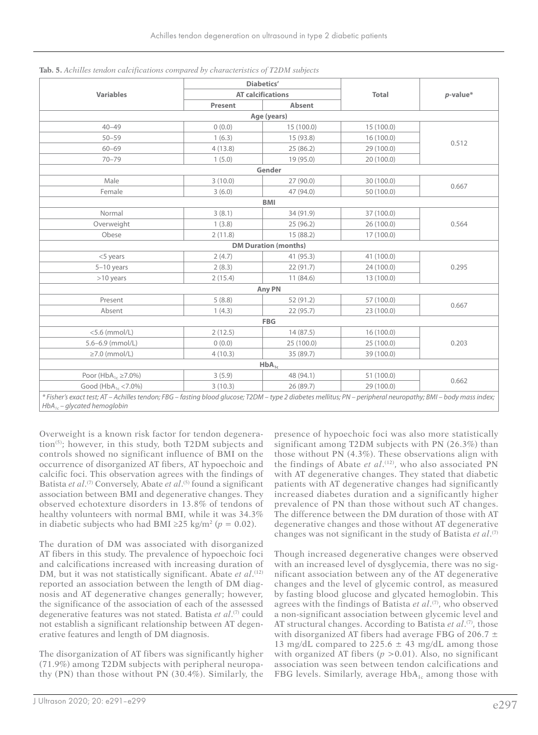|                                                                                                                                                                                                   |         | <b>Diabetics'</b>           |              |             |  |  |  |  |
|---------------------------------------------------------------------------------------------------------------------------------------------------------------------------------------------------|---------|-----------------------------|--------------|-------------|--|--|--|--|
| <b>Variables</b>                                                                                                                                                                                  |         | <b>AT calcifications</b>    | <b>Total</b> | $p$ -value* |  |  |  |  |
|                                                                                                                                                                                                   | Present | <b>Absent</b>               |              |             |  |  |  |  |
|                                                                                                                                                                                                   |         | Age (years)                 |              |             |  |  |  |  |
| $40 - 49$                                                                                                                                                                                         | 0(0.0)  | 15 (100.0)                  | 15 (100.0)   |             |  |  |  |  |
| $50 - 59$                                                                                                                                                                                         | 1(6.3)  | 15 (93.8)                   | 16(100.0)    |             |  |  |  |  |
| $60 - 69$                                                                                                                                                                                         | 4(13.8) | 25(86.2)                    | 29 (100.0)   | 0.512       |  |  |  |  |
| $70 - 79$                                                                                                                                                                                         | 1(5.0)  | 19 (95.0)                   | 20 (100.0)   |             |  |  |  |  |
|                                                                                                                                                                                                   |         | Gender                      |              |             |  |  |  |  |
| Male                                                                                                                                                                                              | 3(10.0) | 27 (90.0)                   | 30 (100.0)   |             |  |  |  |  |
| Female                                                                                                                                                                                            | 3(6.0)  | 47 (94.0)                   | 50 (100.0)   | 0.667       |  |  |  |  |
|                                                                                                                                                                                                   |         | <b>BMI</b>                  |              |             |  |  |  |  |
| Normal                                                                                                                                                                                            | 3(8.1)  | 34 (91.9)                   | 37 (100.0)   |             |  |  |  |  |
| Overweight                                                                                                                                                                                        | 1(3.8)  | 25(96.2)                    | 26 (100.0)   | 0.564       |  |  |  |  |
| Obese                                                                                                                                                                                             | 2(11.8) | 15 (88.2)                   | 17(100.0)    |             |  |  |  |  |
|                                                                                                                                                                                                   |         | <b>DM Duration (months)</b> |              |             |  |  |  |  |
| <5 years                                                                                                                                                                                          | 2(4.7)  | 41 (95.3)                   | 41 (100.0)   |             |  |  |  |  |
| $5-10$ years                                                                                                                                                                                      | 2(8.3)  | 22(91.7)                    | 24 (100.0)   | 0.295       |  |  |  |  |
| $>10$ years                                                                                                                                                                                       | 2(15.4) | 11(84.6)                    | 13 (100.0)   |             |  |  |  |  |
|                                                                                                                                                                                                   |         | Any PN                      |              |             |  |  |  |  |
| Present                                                                                                                                                                                           | 5(8.8)  | 52 (91.2)                   | 57 (100.0)   |             |  |  |  |  |
| Absent                                                                                                                                                                                            | 1(4.3)  | 22 (95.7)                   | 23 (100.0)   | 0.667       |  |  |  |  |
|                                                                                                                                                                                                   |         | <b>FBG</b>                  |              |             |  |  |  |  |
| $<$ 5.6 (mmol/L)                                                                                                                                                                                  | 2(12.5) | 14(87.5)                    | 16 (100.0)   |             |  |  |  |  |
| $5.6 - 6.9$ (mmol/L)                                                                                                                                                                              | 0(0.0)  | 25 (100.0)                  | 25(100.0)    | 0.203       |  |  |  |  |
| $\geq$ 7.0 (mmol/L)                                                                                                                                                                               | 4(10.3) | 35 (89.7)                   | 39 (100.0)   |             |  |  |  |  |
|                                                                                                                                                                                                   |         | $HbA_{1c}$                  |              |             |  |  |  |  |
| Poor (HbA <sub>1c</sub> $\geq$ 7.0%)                                                                                                                                                              | 3(5.9)  | 48 (94.1)                   | 51 (100.0)   | 0.662       |  |  |  |  |
| Good ( $HbA_{1c}$ < 7.0%)                                                                                                                                                                         | 3(10.3) | 26 (89.7)                   | 29 (100.0)   |             |  |  |  |  |
| * Fisher's exact test; AT - Achilles tendon; FBG - fasting blood glucose; T2DM - type 2 diabetes mellitus; PN - peripheral neuropathy; BMI - body mass index;<br>$HbA_{1c}$ – glycated hemoglobin |         |                             |              |             |  |  |  |  |

**Tab. 5.** *Achilles tendon calcifications compared by characteristics of T2DM subjects*

Overweight is a known risk factor for tendon degeneration(5); however, in this study, both T2DM subjects and controls showed no significant influence of BMI on the occurrence of disorganized AT fibers, AT hypoechoic and calcific foci. This observation agrees with the findings of Batista *et al*. (7) Conversely, Abate *et al*. (5) found a significant association between BMI and degenerative changes. They observed echotexture disorders in 13.8% of tendons of healthy volunteers with normal BMI, while it was 34.3% in diabetic subjects who had BMI ≥25 kg/m2 (*p* = 0.02).

The duration of DM was associated with disorganized AT fibers in this study. The prevalence of hypoechoic foci and calcifications increased with increasing duration of DM, but it was not statistically significant. Abate *et al*.<sup>(12)</sup> reported an association between the length of DM diagnosis and AT degenerative changes generally; however, the significance of the association of each of the assessed degenerative features was not stated. Batista *et al*.<sup>(7)</sup> could not establish a significant relationship between AT degenerative features and length of DM diagnosis.

The disorganization of AT fibers was significantly higher (71.9%) among T2DM subjects with peripheral neuropathy (PN) than those without PN (30.4%). Similarly, the presence of hypoechoic foci was also more statistically significant among T2DM subjects with PN (26.3%) than those without PN (4.3%). These observations align with the findings of Abate *et al*. (12), who also associated PN with AT degenerative changes. They stated that diabetic patients with AT degenerative changes had significantly increased diabetes duration and a significantly higher prevalence of PN than those without such AT changes. The difference between the DM duration of those with AT degenerative changes and those without AT degenerative changes was not significant in the study of Batista *et al*. (7)

Though increased degenerative changes were observed with an increased level of dysglycemia, there was no significant association between any of the AT degenerative changes and the level of glycemic control, as measured by fasting blood glucose and glycated hemoglobin. This agrees with the findings of Batista *et al*.<sup>(7)</sup>, who observed a non-significant association between glycemic level and AT structural changes. According to Batista *et al*.<sup>(7)</sup>, those with disorganized AT fibers had average FBG of 206.7  $\pm$ 13 mg/dL compared to 225.6  $\pm$  43 mg/dL among those with organized AT fibers  $(p > 0.01)$ . Also, no significant association was seen between tendon calcifications and FBG levels. Similarly, average  $HbA_{1c}$  among those with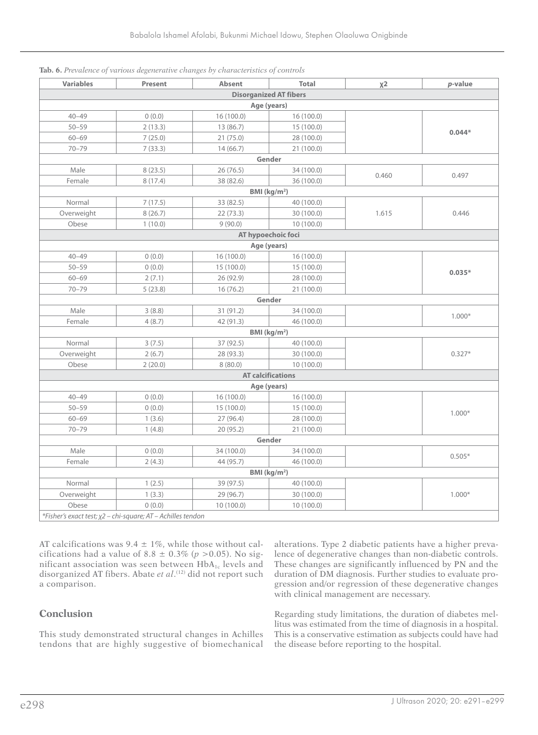| <b>Variables</b> | Present | Absent     | <b>Total</b>                  | $x^2$          | p-value  |  |  |  |
|------------------|---------|------------|-------------------------------|----------------|----------|--|--|--|
|                  |         |            | <b>Disorganized AT fibers</b> |                |          |  |  |  |
|                  |         |            | Age (years)                   |                |          |  |  |  |
| $40 - 49$        | 0(0.0)  | 16(100.0)  | 16(100.0)                     |                |          |  |  |  |
| $50 - 59$        | 2(13.3) | 13(86.7)   | 15(100.0)                     |                | $0.044*$ |  |  |  |
| $60 - 69$        | 7(25.0) | 21(75.0)   | 28 (100.0)                    |                |          |  |  |  |
| $70 - 79$        | 7(33.3) | 14(66.7)   | 21 (100.0)                    |                |          |  |  |  |
|                  |         |            | Gender                        |                |          |  |  |  |
| Male             | 8(23.5) | 26(76.5)   | 34 (100.0)                    | 0.460          |          |  |  |  |
| Female           | 8(17.4) | 38 (82.6)  | 36 (100.0)                    |                | 0.497    |  |  |  |
|                  |         |            | BMI (kg/m <sup>2</sup> )      |                |          |  |  |  |
| Normal           | 7(17.5) | 33 (82.5)  | 40 (100.0)                    |                |          |  |  |  |
| Overweight       | 8(26.7) | 22(73.3)   | 30 (100.0)                    | 1.615<br>0.446 |          |  |  |  |
| Obese            | 1(10.0) | 9(90.0)    | 10(100.0)                     |                |          |  |  |  |
|                  |         |            | AT hypoechoic foci            |                |          |  |  |  |
|                  |         |            | Age (years)                   |                |          |  |  |  |
| $40 - 49$        | 0(0.0)  | 16 (100.0) | 16(100.0)                     |                |          |  |  |  |
| $50 - 59$        | 0(0.0)  | 15(100.0)  | 15(100.0)                     |                | $0.035*$ |  |  |  |
| $60 - 69$        | 2(7.1)  | 26(92.9)   | 28 (100.0)                    |                |          |  |  |  |
| $70 - 79$        | 5(23.8) | 16(76.2)   | 21 (100.0)                    |                |          |  |  |  |
|                  |         |            | Gender                        |                |          |  |  |  |
| Male             | 3(8.8)  | 31 (91.2)  | 34 (100.0)                    |                |          |  |  |  |
| Female           | 4(8.7)  | 42 (91.3)  | 46 (100.0)                    |                | $1.000*$ |  |  |  |
|                  |         |            | BMI (kg/m <sup>2</sup> )      |                |          |  |  |  |
| Normal           | 3(7.5)  | 37 (92.5)  | 40 (100.0)                    |                |          |  |  |  |
| Overweight       | 2(6.7)  | 28 (93.3)  | 30 (100.0)                    |                | $0.327*$ |  |  |  |
| Obese            | 2(20.0) | 8(80.0)    | 10(100.0)                     |                |          |  |  |  |
|                  |         |            | <b>AT calcifications</b>      |                |          |  |  |  |
|                  |         |            | Age (years)                   |                |          |  |  |  |
| $40 - 49$        | 0(0.0)  | 16(100.0)  | 16(100.0)                     |                |          |  |  |  |
| $50 - 59$        | 0(0.0)  | 15 (100.0) | 15(100.0)                     |                |          |  |  |  |
| $60 - 69$        | 1(3.6)  | 27(96.4)   | 28 (100.0)                    |                | $1.000*$ |  |  |  |
| $70 - 79$        | 1(4.8)  | 20 (95.2)  | 21 (100.0)                    |                |          |  |  |  |
|                  |         |            | Gender                        |                |          |  |  |  |
| Male             | 0(0.0)  | 34 (100.0) | 34 (100.0)                    |                |          |  |  |  |
| Female           | 2(4.3)  | 44 (95.7)  | 46 (100.0)                    |                | $0.505*$ |  |  |  |
|                  |         |            | BMI (kg/m <sup>2</sup> )      |                |          |  |  |  |
| Normal           | 1(2.5)  | 39 (97.5)  | 40 (100.0)                    |                |          |  |  |  |
| Overweight       | 1(3.3)  | 29 (96.7)  | 30 (100.0)                    |                | $1.000*$ |  |  |  |
| Obese            | 0(0.0)  | 10(100.0)  | 10(100.0)                     |                |          |  |  |  |

|  |  |  |  |  |  |  |  | Tab. 6. Prevalence of various degenerative changes by characteristics of controls |  |  |  |
|--|--|--|--|--|--|--|--|-----------------------------------------------------------------------------------|--|--|--|
|--|--|--|--|--|--|--|--|-----------------------------------------------------------------------------------|--|--|--|

AT calcifications was  $9.4 \pm 1\%$ , while those without calcifications had a value of 8.8  $\pm$  0.3% ( $p > 0.05$ ). No significant association was seen between HbA<sub>1c</sub> levels and disorganized AT fibers. Abate *et al*. (12) did not report such a comparison.

# **Conclusion**

This study demonstrated structural changes in Achilles tendons that are highly suggestive of biomechanical alterations. Type 2 diabetic patients have a higher prevalence of degenerative changes than non-diabetic controls. These changes are significantly influenced by PN and the duration of DM diagnosis. Further studies to evaluate progression and/or regression of these degenerative changes with clinical management are necessary.

Regarding study limitations, the duration of diabetes mellitus was estimated from the time of diagnosis in a hospital. This is a conservative estimation as subjects could have had the disease before reporting to the hospital.